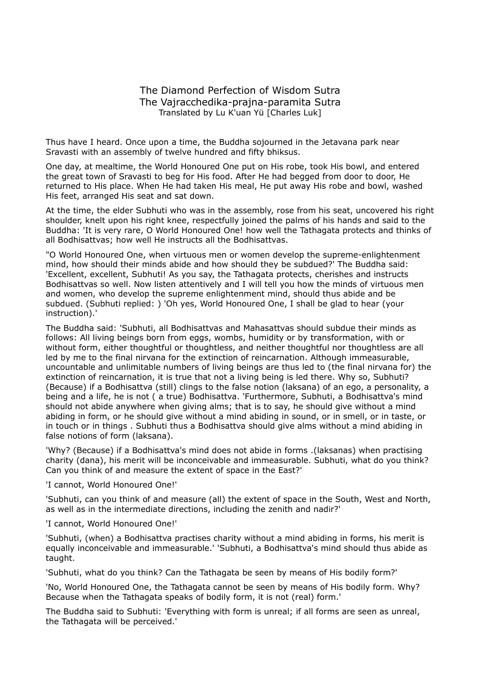## The Diamond Perfection of Wisdom Sutra The Vajracchedika-prajna-paramita Sutra Translated by Lu K'uan Yü [Charles Luk]

Thus have I heard. Once upon a time, the Buddha sojourned in the Jetavana park near Sravasti with an assembly of twelve hundred and fifty bhiksus.

One day, at mealtime, the World Honoured One put on His robe, took His bowl, and entered the great town of Sravasti to beg for His food. After He had begged from door to door, He returned to His place. When He had taken His meal, He put away His robe and bowl, washed His feet, arranged His seat and sat down.

At the time, the elder Subhuti who was in the assembly, rose from his seat, uncovered his right shoulder, knelt upon his right knee, respectfully joined the palms of his hands and said to the Buddha: 'It is very rare, O World Honoured One! how well the Tathagata protects and thinks of all Bodhisattvas; how well He instructs all the Bodhisattvas.

"O World Honoured One, when virtuous men or women develop the supreme-enlightenment mind, how should their minds abide and how should they be subdued?' The Buddha said: 'Excellent, excellent, Subhuti! As you say, the Tathagata protects, cherishes and instructs Bodhisattvas so well. Now listen attentively and I will tell you how the minds of virtuous men and women, who develop the supreme enlightenment mind, should thus abide and be subdued. (Subhuti replied: ) 'Oh yes, World Honoured One, I shall be glad to hear (your instruction).'

The Buddha said: 'Subhuti, all Bodhisattvas and Mahasattvas should subdue their minds as follows: All living beings born from eggs, wombs, humidity or by transformation, with or without form, either thoughtful or thoughtless, and neither thoughtful nor thoughtless are all led by me to the final nirvana for the extinction of reincarnation. Although immeasurable, uncountable and unlimitable numbers of living beings are thus led to (the final nirvana for) the extinction of reincarnation, it is true that not a living being is led there. Why so, Subhuti? (Because) if a Bodhisattva (still) clings to the false notion (laksana) of an ego, a personality, a being and a life, he is not ( a true) Bodhisattva. 'Furthermore, Subhuti, a Bodhisattva's mind should not abide anywhere when giving alms; that is to say, he should give without a mind abiding in form, or he should give without a mind abiding in sound, or in smell, or in taste, or in touch or in things . Subhuti thus a Bodhisattva should give alms without a mind abiding in false notions of form (laksana).

'Why? (Because) if a Bodhisattva's mind does not abide in forms .(laksanas) when practising charity (dana), his merit will be inconceivable and immeasurable. Subhuti, what do you think? Can you think of and measure the extent of space in the East?'

'I cannot, World Honoured One!'

'Subhuti, can you think of and measure (all) the extent of space in the South, West and North, as well as in the intermediate directions, including the zenith and nadir?'

'I cannot, World Honoured One!'

'Subhuti, (when) a Bodhisattva practises charity without a mind abiding in forms, his merit is equally inconceivable and immeasurable.' 'Subhuti, a Bodhisattva's mind should thus abide as taught.

'Subhuti, what do you think? Can the Tathagata be seen by means of His bodily form?'

'No, World Honoured One, the Tathagata cannot be seen by means of His bodily form. Why? Because when the Tathagata speaks of bodily form, it is not (real) form.'

The Buddha said to Subhuti: 'Everything with form is unreal; if all forms are seen as unreal, the Tathagata will be perceived.'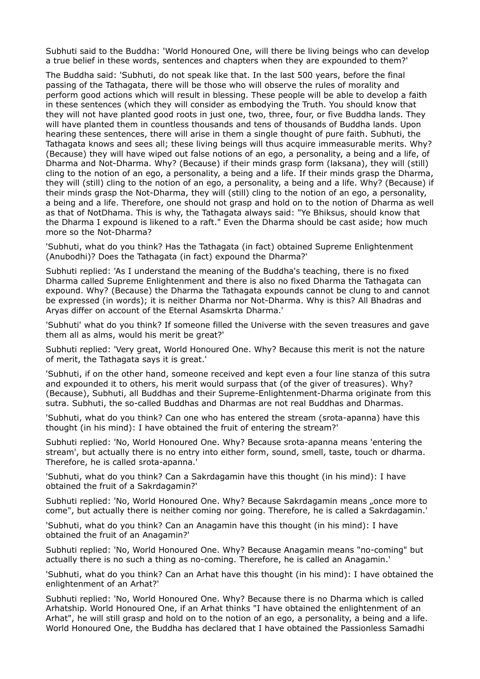Subhuti said to the Buddha: 'World Honoured One, will there be living beings who can develop a true belief in these words, sentences and chapters when they are expounded to them?'

The Buddha said: 'Subhuti, do not speak like that. In the last 500 years, before the final passing of the Tathagata, there will be those who will observe the rules of morality and perform good actions which will result in blessing. These people will be able to develop a faith in these sentences (which they will consider as embodying the Truth. You should know that they will not have planted good roots in just one, two, three, four, or five Buddha lands. They will have planted them in countless thousands and tens of thousands of Buddha lands. Upon hearing these sentences, there will arise in them a single thought of pure faith. Subhuti, the Tathagata knows and sees all; these living beings will thus acquire immeasurable merits. Why? (Because) they will have wiped out false notions of an ego, a personality, a being and a life, of Dharma and Not-Dharma. Why? (Because) if their minds grasp form (laksana), they will (still) cling to the notion of an ego, a personality, a being and a life. If their minds grasp the Dharma, they will (still) cling to the notion of an ego, a personality, a being and a life. Why? (Because) if their minds grasp the Not-Dharma, they will (still) cling to the notion of an ego, a personality, a being and a life. Therefore, one should not grasp and hold on to the notion of Dharma as well as that of NotDhama. This is why, the Tathagata always said: "Ye Bhiksus, should know that the Dharma I expound is likened to a raft." Even the Dharma should be cast aside; how much more so the Not-Dharma?

'Subhuti, what do you think? Has the Tathagata (in fact) obtained Supreme Enlightenment (Anubodhi)? Does the Tathagata (in fact) expound the Dharma?'

Subhuti replied: 'As I understand the meaning of the Buddha's teaching, there is no fixed Dharma called Supreme Enlightenment and there is also no fixed Dharma the Tathagata can expound. Why? (Because) the Dharma the Tathagata expounds cannot be clung to and cannot be expressed (in words); it is neither Dharma nor Not-Dharma. Why is this? All Bhadras and Aryas differ on account of the Eternal Asamskrta Dharma.'

'Subhuti' what do you think? If someone filled the Universe with the seven treasures and gave them all as alms, would his merit be great?'

Subhuti replied: 'Very great, World Honoured One. Why? Because this merit is not the nature of merit, the Tathagata says it is great.'

'Subhuti, if on the other hand, someone received and kept even a four line stanza of this sutra and expounded it to others, his merit would surpass that (of the giver of treasures). Why? (Because), Subhuti, all Buddhas and their Supreme-Enlightenment-Dharma originate from this sutra. Subhuti, the so-called Buddhas and Dharmas are not real Buddhas and Dharmas.

'Subhuti, what do you think? Can one who has entered the stream (srota-apanna) have this thought (in his mind): I have obtained the fruit of entering the stream?'

Subhuti replied: 'No, World Honoured One. Why? Because srota-apanna means 'entering the stream', but actually there is no entry into either form, sound, smell, taste, touch or dharma. Therefore, he is called srota-apanna.'

'Subhuti, what do you think? Can a Sakrdagamin have this thought (in his mind): I have obtained the fruit of a Sakrdagamin?'

Subhuti replied: 'No, World Honoured One. Why? Because Sakrdagamin means "once more to come", but actually there is neither coming nor going. Therefore, he is called a Sakrdagamin.'

'Subhuti, what do you think? Can an Anagamin have this thought (in his mind): I have obtained the fruit of an Anagamin?'

Subhuti replied: 'No, World Honoured One. Why? Because Anagamin means "no-coming" but actually there is no such a thing as no-coming. Therefore, he is called an Anagamin.'

'Subhuti, what do you think? Can an Arhat have this thought (in his mind): I have obtained the enlightenment of an Arhat?'

Subhuti replied: 'No, World Honoured One. Why? Because there is no Dharma which is called Arhatship. World Honoured One, if an Arhat thinks "I have obtained the enlightenment of an Arhat", he will still grasp and hold on to the notion of an ego, a personality, a being and a life. World Honoured One, the Buddha has declared that I have obtained the Passionless Samadhi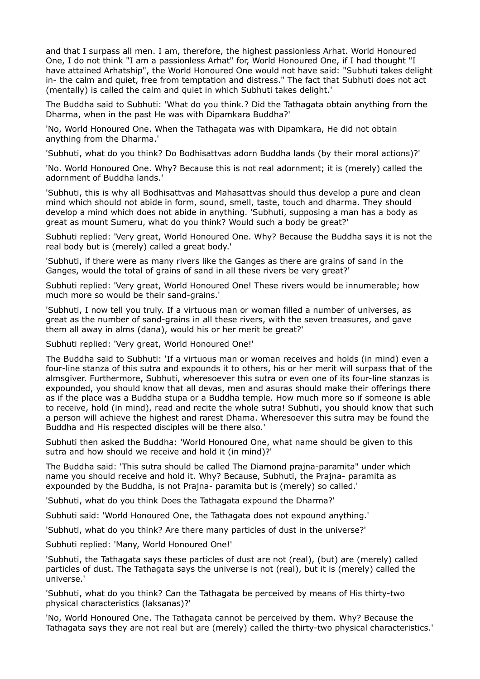and that I surpass all men. I am, therefore, the highest passionless Arhat. World Honoured One, I do not think "I am a passionless Arhat" for, World Honoured One, if I had thought "I have attained Arhatship", the World Honoured One would not have said: "Subhuti takes delight in- the calm and quiet, free from temptation and distress." The fact that Subhuti does not act (mentally) is called the calm and quiet in which Subhuti takes delight.'

The Buddha said to Subhuti: 'What do you think.? Did the Tathagata obtain anything from the Dharma, when in the past He was with Dipamkara Buddha?'

'No, World Honoured One. When the Tathagata was with Dipamkara, He did not obtain anything from the Dharma.'

'Subhuti, what do you think? Do Bodhisattvas adorn Buddha lands (by their moral actions)?'

'No. World Honoured One. Why? Because this is not real adornment; it is (merely) called the adornment of Buddha lands.'

'Subhuti, this is why all Bodhisattvas and Mahasattvas should thus develop a pure and clean mind which should not abide in form, sound, smell, taste, touch and dharma. They should develop a mind which does not abide in anything. 'Subhuti, supposing a man has a body as great as mount Sumeru, what do you think? Would such a body be great?'

Subhuti replied: 'Very great, World Honoured One. Why? Because the Buddha says it is not the real body but is (merely) called a great body.'

'Subhuti, if there were as many rivers like the Ganges as there are grains of sand in the Ganges, would the total of grains of sand in all these rivers be very great?'

Subhuti replied: 'Very great, World Honoured One! These rivers would be innumerable; how much more so would be their sand-grains.'

'Subhuti, I now tell you truly. If a virtuous man or woman filled a number of universes, as great as the number of sand-grains in all these rivers, with the seven treasures, and gave them all away in alms (dana), would his or her merit be great?'

Subhuti replied: 'Very great, World Honoured One!'

The Buddha said to Subhuti: 'If a virtuous man or woman receives and holds (in mind) even a four-line stanza of this sutra and expounds it to others, his or her merit will surpass that of the almsgiver. Furthermore, Subhuti, wheresoever this sutra or even one of its four-line stanzas is expounded, you should know that all devas, men and asuras should make their offerings there as if the place was a Buddha stupa or a Buddha temple. How much more so if someone is able to receive, hold (in mind), read and recite the whole sutra! Subhuti, you should know that such a person will achieve the highest and rarest Dhama. Wheresoever this sutra may be found the Buddha and His respected disciples will be there also.'

Subhuti then asked the Buddha: 'World Honoured One, what name should be given to this sutra and how should we receive and hold it (in mind)?'

The Buddha said: 'This sutra should be called The Diamond prajna-paramita" under which name you should receive and hold it. Why? Because, Subhuti, the Prajna- paramita as expounded by the Buddha, is not Prajna- paramita but is (merely) so called.'

'Subhuti, what do you think Does the Tathagata expound the Dharma?'

Subhuti said: 'World Honoured One, the Tathagata does not expound anything.'

'Subhuti, what do you think? Are there many particles of dust in the universe?'

Subhuti replied: 'Many, World Honoured One!'

'Subhuti, the Tathagata says these particles of dust are not (real), (but) are (merely) called particles of dust. The Tathagata says the universe is not (real), but it is (merely) called the universe.'

'Subhuti, what do you think? Can the Tathagata be perceived by means of His thirty-two physical characteristics (laksanas)?'

'No, World Honoured One. The Tathagata cannot be perceived by them. Why? Because the Tathagata says they are not real but are (merely) called the thirty-two physical characteristics.'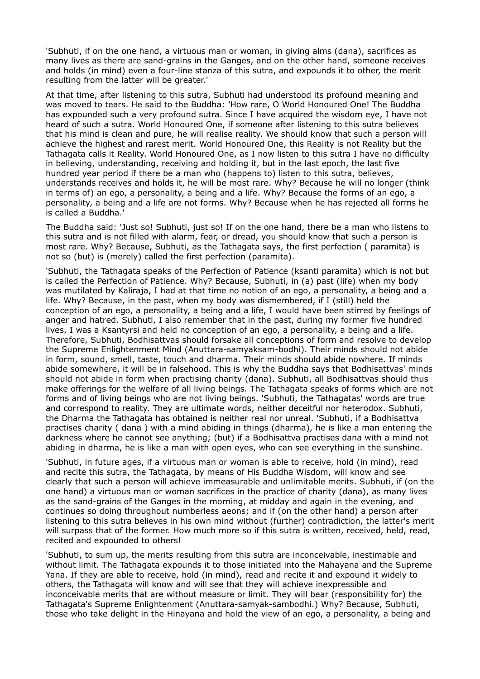'Subhuti, if on the one hand, a virtuous man or woman, in giving alms (dana), sacrifices as many lives as there are sand-grains in the Ganges, and on the other hand, someone receives and holds (in mind) even a four-line stanza of this sutra, and expounds it to other, the merit resulting from the latter will be greater.'

At that time, after listening to this sutra, Subhuti had understood its profound meaning and was moved to tears. He said to the Buddha: 'How rare, O World Honoured One! The Buddha has expounded such a very profound sutra. Since I have acquired the wisdom eye, I have not heard of such a sutra. World Honoured One, if someone after listening to this sutra believes that his mind is clean and pure, he will realise reality. We should know that such a person will achieve the highest and rarest merit. World Honoured One, this Reality is not Reality but the Tathagata calls it Reality. World Honoured One, as I now listen to this sutra I have no difficulty in believing, understanding, receiving and holding it, but in the last epoch, the last five hundred year period if there be a man who (happens to) listen to this sutra, believes, understands receives and holds it, he will be most rare. Why? Because he will no longer (think in terms of) an ego, a personality, a being and a life. Why? Because the forms of an ego, a personality, a being and a life are not forms. Why? Because when he has rejected all forms he is called a Buddha.'

The Buddha said: 'Just so! Subhuti, just so! If on the one hand, there be a man who listens to this sutra and is not filled with alarm, fear, or dread, you should know that such a person is most rare. Why? Because, Subhuti, as the Tathagata says, the first perfection ( paramita) is not so (but) is (merely) called the first perfection (paramita).

'Subhuti, the Tathagata speaks of the Perfection of Patience (ksanti paramita) which is not but is called the Perfection of Patience. Why? Because, Subhuti, in (a) past (life) when my body was mutilated by Kaliraja, I had at that time no notion of an ego, a personality, a being and a life. Why? Because, in the past, when my body was dismembered, if I (still) held the conception of an ego, a personality, a being and a life, I would have been stirred by feelings of anger and hatred. Subhuti, I also remember that in the past, during my former five hundred lives, I was a Ksantyrsi and held no conception of an ego, a personality, a being and a life. Therefore, Subhuti, Bodhisattvas should forsake all conceptions of form and resolve to develop the Supreme Enlightenment Mind (Anuttara-samyaksam-bodhi). Their minds should not abide in form, sound, smell, taste, touch and dharma. Their minds should abide nowhere. If minds abide somewhere, it will be in falsehood. This is why the Buddha says that Bodhisattvas' minds should not abide in form when practising charity (dana). Subhuti, all Bodhisattvas should thus make offerings for the welfare of all living beings. The Tathagata speaks of forms which are not forms and of living beings who are not living beings. 'Subhuti, the Tathagatas' words are true and correspond to reality. They are ultimate words, neither deceitful nor heterodox. Subhuti, the Dharma the Tathagata has obtained is neither real nor unreal. 'Subhuti, if a Bodhisattva practises charity ( dana ) with a mind abiding in things (dharma), he is like a man entering the darkness where he cannot see anything; (but) if a Bodhisattva practises dana with a mind not abiding in dharma, he is like a man with open eyes, who can see everything in the sunshine.

'Subhuti, in future ages, if a virtuous man or woman is able to receive, hold (in mind), read and recite this sutra, the Tathagata, by means of His Buddha Wisdom, will know and see clearly that such a person will achieve immeasurable and unlimitable merits. Subhuti, if (on the one hand) a virtuous man or woman sacrifices in the practice of charity (dana), as many lives as the sand-grains of the Ganges in the morning, at midday and again in the evening, and continues so doing throughout numberless aeons; and if (on the other hand) a person after listening to this sutra believes in his own mind without (further) contradiction, the latter's merit will surpass that of the former. How much more so if this sutra is written, received, held, read, recited and expounded to others!

'Subhuti, to sum up, the merits resulting from this sutra are inconceivable, inestimable and without limit. The Tathagata expounds it to those initiated into the Mahayana and the Supreme Yana. If they are able to receive, hold (in mind), read and recite it and expound it widely to others, the Tathagata will know and will see that they will achieve inexpressible and inconceivable merits that are without measure or limit. They will bear (responsibility for) the Tathagata's Supreme Enlightenment (Anuttara-samyak-sambodhi.) Why? Because, Subhuti, those who take delight in the Hinayana and hold the view of an ego, a personality, a being and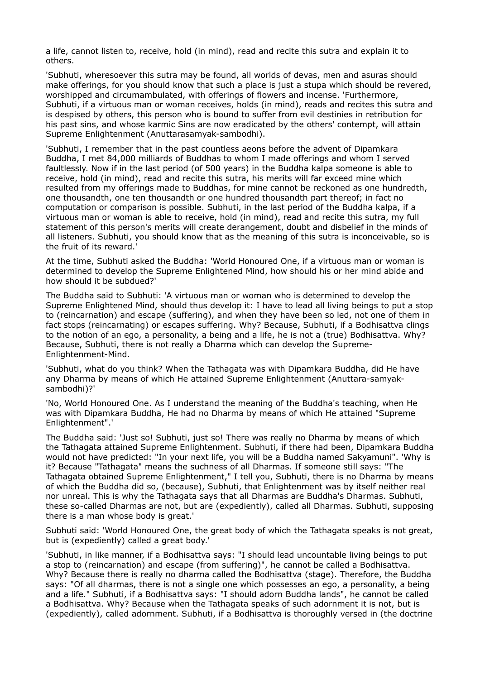a life, cannot listen to, receive, hold (in mind), read and recite this sutra and explain it to others.

'Subhuti, wheresoever this sutra may be found, all worlds of devas, men and asuras should make offerings, for you should know that such a place is just a stupa which should be revered, worshipped and circumambulated, with offerings of flowers and incense. 'Furthermore, Subhuti, if a virtuous man or woman receives, holds (in mind), reads and recites this sutra and is despised by others, this person who is bound to suffer from evil destinies in retribution for his past sins, and whose karmic Sins are now eradicated by the others' contempt, will attain Supreme Enlightenment (Anuttarasamyak-sambodhi).

'Subhuti, I remember that in the past countless aeons before the advent of Dipamkara Buddha, I met 84,000 milliards of Buddhas to whom I made offerings and whom I served faultlessly. Now if in the last period (of 500 years) in the Buddha kalpa someone is able to receive, hold (in mind), read and recite this sutra, his merits will far exceed mine which resulted from my offerings made to Buddhas, for mine cannot be reckoned as one hundredth, one thousandth, one ten thousandth or one hundred thousandth part thereof; in fact no computation or comparison is possible. Subhuti, in the last period of the Buddha kalpa, if a virtuous man or woman is able to receive, hold (in mind), read and recite this sutra, my full statement of this person's merits will create derangement, doubt and disbelief in the minds of all listeners. Subhuti, you should know that as the meaning of this sutra is inconceivable, so is the fruit of its reward.'

At the time, Subhuti asked the Buddha: 'World Honoured One, if a virtuous man or woman is determined to develop the Supreme Enlightened Mind, how should his or her mind abide and how should it be subdued?'

The Buddha said to Subhuti: 'A virtuous man or woman who is determined to develop the Supreme Enlightened Mind, should thus develop it: I have to lead all living beings to put a stop to (reincarnation) and escape (suffering), and when they have been so led, not one of them in fact stops (reincarnating) or escapes suffering. Why? Because, Subhuti, if a Bodhisattva clings to the notion of an ego, a personality, a being and a life, he is not a (true) Bodhisattva. Why? Because, Subhuti, there is not really a Dharma which can develop the Supreme-Enlightenment-Mind.

'Subhuti, what do you think? When the Tathagata was with Dipamkara Buddha, did He have any Dharma by means of which He attained Supreme Enlightenment (Anuttara-samyaksambodhi)?'

'No, World Honoured One. As I understand the meaning of the Buddha's teaching, when He was with Dipamkara Buddha, He had no Dharma by means of which He attained "Supreme Enlightenment".'

The Buddha said: 'Just so! Subhuti, just so! There was really no Dharma by means of which the Tathagata attained Supreme Enlightenment. Subhuti, if there had been, Dipamkara Buddha would not have predicted: "In your next life, you will be a Buddha named Sakyamuni". 'Why is it? Because "Tathagata" means the suchness of all Dharmas. If someone still says: "The Tathagata obtained Supreme Enlightenment," I tell you, Subhuti, there is no Dharma by means of which the Buddha did so, (because), Subhuti, that Enlightenment was by itself neither real nor unreal. This is why the Tathagata says that all Dharmas are Buddha's Dharmas. Subhuti, these so-called Dharmas are not, but are (expediently), called all Dharmas. Subhuti, supposing there is a man whose body is great.'

Subhuti said: 'World Honoured One, the great body of which the Tathagata speaks is not great, but is (expediently) called a great body.'

'Subhuti, in like manner, if a Bodhisattva says: "I should lead uncountable living beings to put a stop to (reincarnation) and escape (from suffering)", he cannot be called a Bodhisattva. Why? Because there is really no dharma called the Bodhisattva (stage). Therefore, the Buddha says: "Of all dharmas, there is not a single one which possesses an ego, a personality, a being and a life." Subhuti, if a Bodhisattva says: "I should adorn Buddha lands", he cannot be called a Bodhisattva. Why? Because when the Tathagata speaks of such adornment it is not, but is (expediently), called adornment. Subhuti, if a Bodhisattva is thoroughly versed in (the doctrine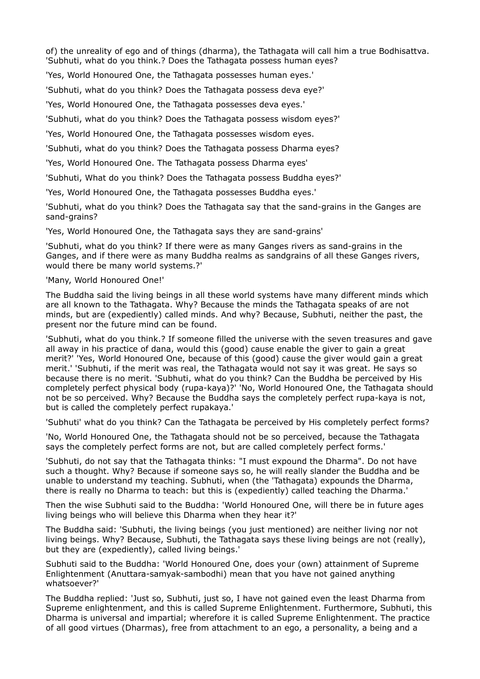of) the unreality of ego and of things (dharma), the Tathagata will call him a true Bodhisattva. 'Subhuti, what do you think.? Does the Tathagata possess human eyes?

'Yes, World Honoured One, the Tathagata possesses human eyes.'

'Subhuti, what do you think? Does the Tathagata possess deva eye?'

'Yes, World Honoured One, the Tathagata possesses deva eyes.'

'Subhuti, what do you think? Does the Tathagata possess wisdom eyes?'

'Yes, World Honoured One, the Tathagata possesses wisdom eyes.

'Subhuti, what do you think? Does the Tathagata possess Dharma eyes?

'Yes, World Honoured One. The Tathagata possess Dharma eyes'

'Subhuti, What do you think? Does the Tathagata possess Buddha eyes?'

'Yes, World Honoured One, the Tathagata possesses Buddha eyes.'

'Subhuti, what do you think? Does the Tathagata say that the sand-grains in the Ganges are sand-grains?

'Yes, World Honoured One, the Tathagata says they are sand-grains'

'Subhuti, what do you think? If there were as many Ganges rivers as sand-grains in the Ganges, and if there were as many Buddha realms as sandgrains of all these Ganges rivers, would there be many world systems.?'

'Many, World Honoured One!'

The Buddha said the living beings in all these world systems have many different minds which are all known to the Tathagata. Why? Because the minds the Tathagata speaks of are not minds, but are (expediently) called minds. And why? Because, Subhuti, neither the past, the present nor the future mind can be found.

'Subhuti, what do you think.? If someone filled the universe with the seven treasures and gave all away in his practice of dana, would this (good) cause enable the giver to gain a great merit?' 'Yes, World Honoured One, because of this (good) cause the giver would gain a great merit.' 'Subhuti, if the merit was real, the Tathagata would not say it was great. He says so because there is no merit. 'Subhuti, what do you think? Can the Buddha be perceived by His completely perfect physical body (rupa-kaya)?' 'No, World Honoured One, the Tathagata should not be so perceived. Why? Because the Buddha says the completely perfect rupa-kaya is not, but is called the completely perfect rupakaya.'

'Subhuti' what do you think? Can the Tathagata be perceived by His completely perfect forms?

'No, World Honoured One, the Tathagata should not be so perceived, because the Tathagata says the completely perfect forms are not, but are called completely perfect forms.'

'Subhuti, do not say that the Tathagata thinks: "I must expound the Dharma". Do not have such a thought. Why? Because if someone says so, he will really slander the Buddha and be unable to understand my teaching. Subhuti, when (the 'Tathagata) expounds the Dharma, there is really no Dharma to teach: but this is (expediently) called teaching the Dharma.'

Then the wise Subhuti said to the Buddha: 'World Honoured One, will there be in future ages living beings who will believe this Dharma when they hear it?'

The Buddha said: 'Subhuti, the living beings (you just mentioned) are neither living nor not living beings. Why? Because, Subhuti, the Tathagata says these living beings are not (really), but they are (expediently), called living beings.'

Subhuti said to the Buddha: 'World Honoured One, does your (own) attainment of Supreme Enlightenment (Anuttara-samyak-sambodhi) mean that you have not gained anything whatsoever?'

The Buddha replied: 'Just so, Subhuti, just so, I have not gained even the least Dharma from Supreme enlightenment, and this is called Supreme Enlightenment. Furthermore, Subhuti, this Dharma is universal and impartial; wherefore it is called Supreme Enlightenment. The practice of all good virtues (Dharmas), free from attachment to an ego, a personality, a being and a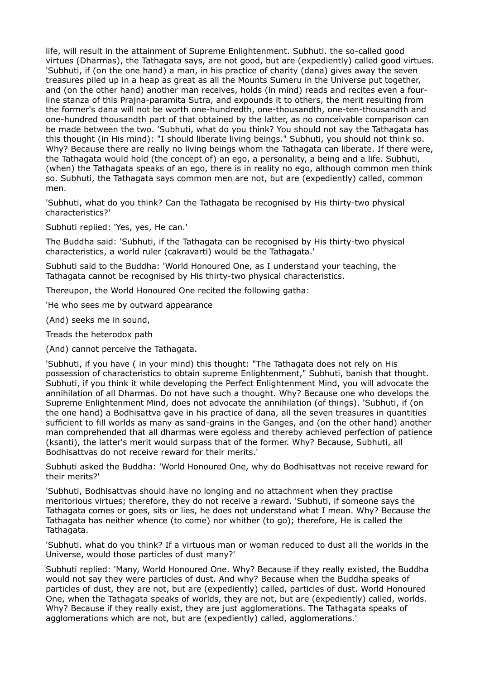life, will result in the attainment of Supreme Enlightenment. Subhuti. the so-called good virtues (Dharmas), the Tathagata says, are not good, but are (expediently) called good virtues. 'Subhuti, if (on the one hand) a man, in his practice of charity (dana) gives away the seven treasures piled up in a heap as great as all the Mounts Sumeru in the Universe put together, and (on the other hand) another man receives, holds (in mind) reads and recites even a fourline stanza of this Prajna-paramita Sutra, and expounds it to others, the merit resulting from the former's dana will not be worth one-hundredth, one-thousandth, one-ten-thousandth and one-hundred thousandth part of that obtained by the latter, as no conceivable comparison can be made between the two. 'Subhuti, what do you think? You should not say the Tathagata has this thought (in His mind): "I should liberate living beings." Subhuti, you should not think so. Why? Because there are really no living beings whom the Tathagata can liberate. If there were, the Tathagata would hold (the concept of) an ego, a personality, a being and a life. Subhuti, (when) the Tathagata speaks of an ego, there is in reality no ego, although common men think so. Subhuti, the Tathagata says common men are not, but are (expediently) called, common men.

'Subhuti, what do you think? Can the Tathagata be recognised by His thirty-two physical characteristics?'

Subhuti replied: 'Yes, yes, He can.'

The Buddha said: 'Subhuti, if the Tathagata can be recognised by His thirty-two physical characteristics, a world ruler (cakravarti) would be the Tathagata.'

Subhuti said to the Buddha: 'World Honoured One, as I understand your teaching, the Tathagata cannot be recognised by His thirty-two physical characteristics.

Thereupon, the World Honoured One recited the following gatha:

'He who sees me by outward appearance

(And) seeks me in sound,

Treads the heterodox path

(And) cannot perceive the Tathagata.

'Subhuti, if you have ( in your mind) this thought: "The Tathagata does not rely on His possession of characteristics to obtain supreme Enlightenment," Subhuti, banish that thought. Subhuti, if you think it while developing the Perfect Enlightenment Mind, you will advocate the annihilation of all Dharmas. Do not have such a thought. Why? Because one who develops the Supreme Enlightenment Mind, does not advocate the annihilation (of things). 'Subhuti, if (on the one hand) a Bodhisattva gave in his practice of dana, all the seven treasures in quantities sufficient to fill worlds as many as sand-grains in the Ganges, and (on the other hand) another man comprehended that all dharmas were egoless and thereby achieved perfection of patience (ksanti), the latter's merit would surpass that of the former. Why? Because, Subhuti, all Bodhisattvas do not receive reward for their merits.'

Subhuti asked the Buddha: 'World Honoured One, why do Bodhisattvas not receive reward for their merits?'

'Subhuti, Bodhisattvas should have no longing and no attachment when they practise meritorious virtues; therefore, they do not receive a reward. 'Subhuti, if someone says the Tathagata comes or goes, sits or lies, he does not understand what I mean. Why? Because the Tathagata has neither whence (to come) nor whither (to go); therefore, He is called the Tathagata.

'Subhuti. what do you think? If a virtuous man or woman reduced to dust all the worlds in the Universe, would those particles of dust many?'

Subhuti replied: 'Many, World Honoured One. Why? Because if they really existed, the Buddha would not say they were particles of dust. And why? Because when the Buddha speaks of particles of dust, they are not, but are (expediently) called, particles of dust. World Honoured One, when the Tathagata speaks of worlds, they are not, but are (expediently) called, worlds. Why? Because if they really exist, they are just agglomerations. The Tathagata speaks of agglomerations which are not, but are (expediently) called, agglomerations.'